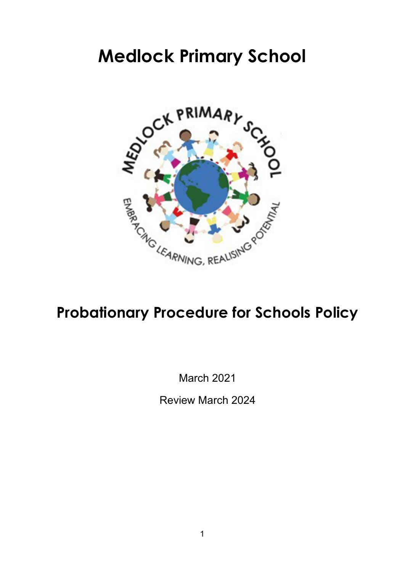# **Medlock Primary School**



# **Probationary Procedure for Schools Policy**

March 2021

Review March 2024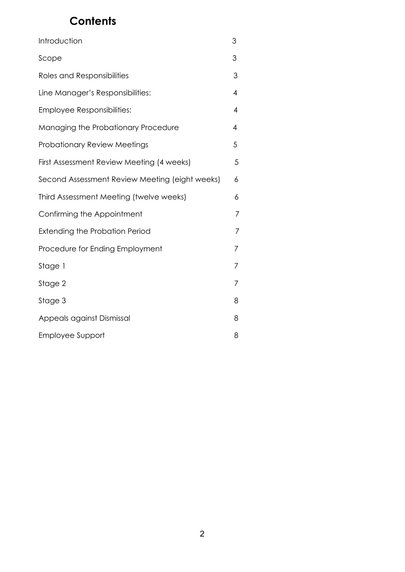## **Contents**

| Introduction                                   | 3              |
|------------------------------------------------|----------------|
| Scope                                          | 3              |
| Roles and Responsibilities                     | 3              |
| Line Manager's Responsibilities:               | 4              |
| Employee Responsibilities:                     | $\overline{4}$ |
| Managing the Probationary Procedure            | 4              |
| <b>Probationary Review Meetings</b>            | 5              |
| First Assessment Review Meeting (4 weeks)      | 5              |
| Second Assessment Review Meeting (eight weeks) | 6              |
| Third Assessment Meeting (twelve weeks)        | 6              |
| Confirming the Appointment                     | 7              |
| <b>Extending the Probation Period</b>          | 7              |
| Procedure for Ending Employment                | 7              |
| Stage 1                                        | 7              |
| Stage 2                                        | 7              |
| Stage 3                                        | 8              |
| Appeals against Dismissal                      | 8              |
| Employee Support                               | 8              |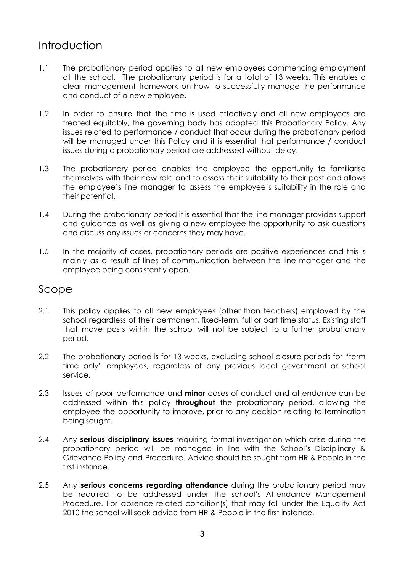## Introduction

- 1.1 The probationary period applies to all new employees commencing employment at the school. The probationary period is for a total of 13 weeks. This enables a clear management framework on how to successfully manage the performance and conduct of a new employee.
- 1.2 In order to ensure that the time is used effectively and all new employees are treated equitably, the governing body has adopted this Probationary Policy. Any issues related to performance / conduct that occur during the probationary period will be managed under this Policy and it is essential that performance / conduct issues during a probationary period are addressed without delay.
- 1.3 The probationary period enables the employee the opportunity to familiarise themselves with their new role and to assess their suitability to their post and allows the employee's line manager to assess the employee's suitability in the role and their potential.
- 1.4 During the probationary period it is essential that the line manager provides support and guidance as well as giving a new employee the opportunity to ask questions and discuss any issues or concerns they may have.
- 1.5 In the majority of cases, probationary periods are positive experiences and this is mainly as a result of lines of communication between the line manager and the employee being consistently open.

#### Scope

- 2.1 This policy applies to all new employees (other than teachers) employed by the school regardless of their permanent, fixed-term, full or part time status. Existing staff that move posts within the school will not be subject to a further probationary period.
- 2.2 The probationary period is for 13 weeks, excluding school closure periods for "term time only" employees, regardless of any previous local government or school service.
- 2.3 Issues of poor performance and **minor** cases of conduct and attendance can be addressed within this policy **throughout** the probationary period, allowing the employee the opportunity to improve, prior to any decision relating to termination being sought.
- 2.4 Any **serious disciplinary issues** requiring formal investigation which arise during the probationary period will be managed in line with the School's Disciplinary & Grievance Policy and Procedure. Advice should be sought from HR & People in the first instance.
- 2.5 Any **serious concerns regarding attendance** during the probationary period may be required to be addressed under the school's Attendance Management Procedure. For absence related condition(s) that may fall under the Equality Act 2010 the school will seek advice from HR & People in the first instance.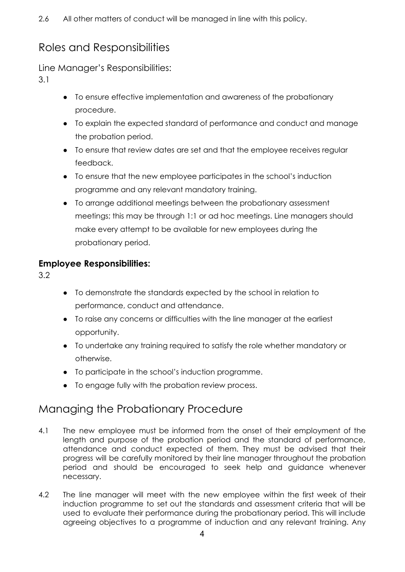## Roles and Responsibilities

Line Manager's Responsibilities:

3.1

- To ensure effective implementation and awareness of the probationary procedure.
- To explain the expected standard of performance and conduct and manage the probation period.
- To ensure that review dates are set and that the employee receives regular feedback.
- To ensure that the new employee participates in the school's induction programme and any relevant mandatory training.
- To arrange additional meetings between the probationary assessment meetings; this may be through 1:1 or ad hoc meetings. Line managers should make every attempt to be available for new employees during the probationary period.

#### **Employee Responsibilities:**

3.2

- To demonstrate the standards expected by the school in relation to performance, conduct and attendance.
- To raise any concerns or difficulties with the line manager at the earliest opportunity.
- To undertake any training required to satisfy the role whether mandatory or otherwise.
- To participate in the school's induction programme.
- To engage fully with the probation review process.

# Managing the Probationary Procedure

- 4.1 The new employee must be informed from the onset of their employment of the length and purpose of the probation period and the standard of performance, attendance and conduct expected of them. They must be advised that their progress will be carefully monitored by their line manager throughout the probation period and should be encouraged to seek help and guidance whenever necessary.
- 4.2 The line manager will meet with the new employee within the first week of their induction programme to set out the standards and assessment criteria that will be used to evaluate their performance during the probationary period. This will include agreeing objectives to a programme of induction and any relevant training. Any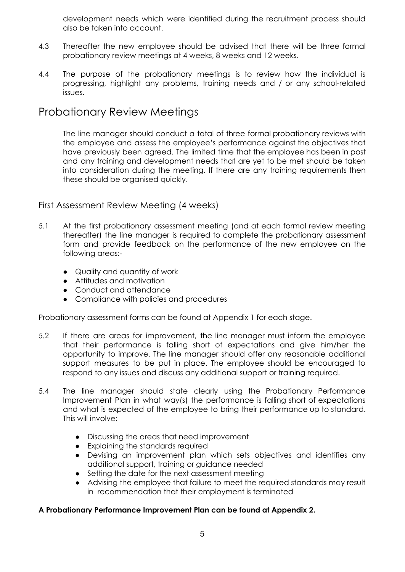development needs which were identified during the recruitment process should also be taken into account.

- 4.3 Thereafter the new employee should be advised that there will be three formal probationary review meetings at 4 weeks, 8 weeks and 12 weeks.
- 4.4 The purpose of the probationary meetings is to review how the individual is progressing, highlight any problems, training needs and / or any school-related issues.

### Probationary Review Meetings

The line manager should conduct a total of three formal probationary reviews with the employee and assess the employee's performance against the objectives that have previously been agreed. The limited time that the employee has been in post and any training and development needs that are yet to be met should be taken into consideration during the meeting. If there are any training requirements then these should be organised quickly.

#### First Assessment Review Meeting (4 weeks)

- 5.1 At the first probationary assessment meeting (and at each formal review meeting thereafter) the line manager is required to complete the probationary assessment form and provide feedback on the performance of the new employee on the following areas:-
	- Quality and quantity of work
	- Attitudes and motivation
	- Conduct and attendance
	- Compliance with policies and procedures

Probationary assessment forms can be found at Appendix 1 for each stage.

- 5.2 If there are areas for improvement, the line manager must inform the employee that their performance is falling short of expectations and give him/her the opportunity to improve. The line manager should offer any reasonable additional support measures to be put in place. The employee should be encouraged to respond to any issues and discuss any additional support or training required.
- 5.4 The line manager should state clearly using the Probationary Performance Improvement Plan in what way(s) the performance is falling short of expectations and what is expected of the employee to bring their performance up to standard. This will involve:
	- Discussing the areas that need improvement
	- Explaining the standards required
	- Devising an improvement plan which sets objectives and identifies any additional support, training or guidance needed
	- Setting the date for the next assessment meeting
	- Advising the employee that failure to meet the required standards may result in recommendation that their employment is terminated

#### **A Probationary Performance Improvement Plan can be found at Appendix 2.**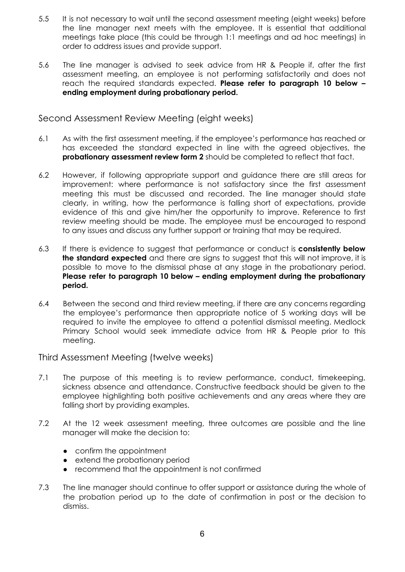- 5.5 It is not necessary to wait until the second assessment meeting (eight weeks) before the line manager next meets with the employee. It is essential that additional meetings take place (this could be through 1:1 meetings and ad hoc meetings) in order to address issues and provide support.
- 5.6 The line manager is advised to seek advice from HR & People if, after the first assessment meeting, an employee is not performing satisfactorily and does not reach the required standards expected. **Please refer to paragraph 10 below – ending employment during probationary period.**

Second Assessment Review Meeting (eight weeks)

- 6.1 As with the first assessment meeting, if the employee's performance has reached or has exceeded the standard expected in line with the agreed objectives, the **probationary assessment review form 2** should be completed to reflect that fact.
- 6.2 However, if following appropriate support and guidance there are still areas for improvement: where performance is not satisfactory since the first assessment meeting this must be discussed and recorded. The line manager should state clearly, in writing, how the performance is falling short of expectations, provide evidence of this and give him/her the opportunity to improve. Reference to first review meeting should be made. The employee must be encouraged to respond to any issues and discuss any further support or training that may be required.
- 6.3 If there is evidence to suggest that performance or conduct is **consistently below the standard expected** and there are signs to suggest that this will not improve, it is possible to move to the dismissal phase at any stage in the probationary period. **Please refer to paragraph 10 below – ending employment during the probationary period.**
- 6.4 Between the second and third review meeting, if there are any concerns regarding the employee's performance then appropriate notice of 5 working days will be required to invite the employee to attend a potential dismissal meeting. Medlock Primary School would seek immediate advice from HR & People prior to this meeting.

Third Assessment Meeting (twelve weeks)

- 7.1 The purpose of this meeting is to review performance, conduct, timekeeping, sickness absence and attendance. Constructive feedback should be given to the employee highlighting both positive achievements and any areas where they are falling short by providing examples.
- 7.2 At the 12 week assessment meeting, three outcomes are possible and the line manager will make the decision to:
	- confirm the appointment
	- extend the probationary period
	- recommend that the appointment is not confirmed
- 7.3 The line manager should continue to offer support or assistance during the whole of the probation period up to the date of confirmation in post or the decision to dismiss.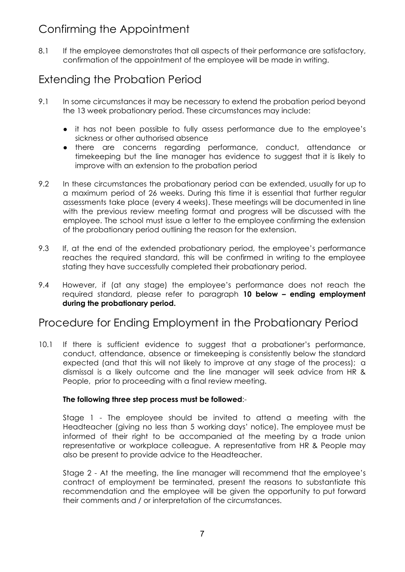## Confirming the Appointment

8.1 If the employee demonstrates that all aspects of their performance are satisfactory, confirmation of the appointment of the employee will be made in writing.

## Extending the Probation Period

- 9.1 In some circumstances it may be necessary to extend the probation period beyond the 13 week probationary period. These circumstances may include:
	- it has not been possible to fully assess performance due to the employee's sickness or other authorised absence
	- there are concerns regarding performance, conduct, attendance or timekeeping but the line manager has evidence to suggest that it is likely to improve with an extension to the probation period
- 9.2 In these circumstances the probationary period can be extended, usually for up to a maximum period of 26 weeks. During this time it is essential that further regular assessments take place (every 4 weeks). These meetings will be documented in line with the previous review meeting format and progress will be discussed with the employee. The school must issue a letter to the employee confirming the extension of the probationary period outlining the reason for the extension.
- 9.3 If, at the end of the extended probationary period, the employee's performance reaches the required standard, this will be confirmed in writing to the employee stating they have successfully completed their probationary period.
- 9.4 However, if (at any stage) the employee's performance does not reach the required standard, please refer to paragraph **10 below – ending employment during the probationary period.**

### Procedure for Ending Employment in the Probationary Period

10.1 If there is sufficient evidence to suggest that a probationer's performance, conduct, attendance, absence or timekeeping is consistently below the standard expected (and that this will not likely to improve at any stage of the process); a dismissal is a likely outcome and the line manager will seek advice from HR & People, prior to proceeding with a final review meeting.

#### **The following three step process must be followed**:-

Stage 1 - The employee should be invited to attend a meeting with the Headteacher (giving no less than 5 working days' notice). The employee must be informed of their right to be accompanied at the meeting by a trade union representative or workplace colleague. A representative from HR & People may also be present to provide advice to the Headteacher.

Stage 2 - At the meeting, the line manager will recommend that the employee's contract of employment be terminated, present the reasons to substantiate this recommendation and the employee will be given the opportunity to put forward their comments and / or interpretation of the circumstances.